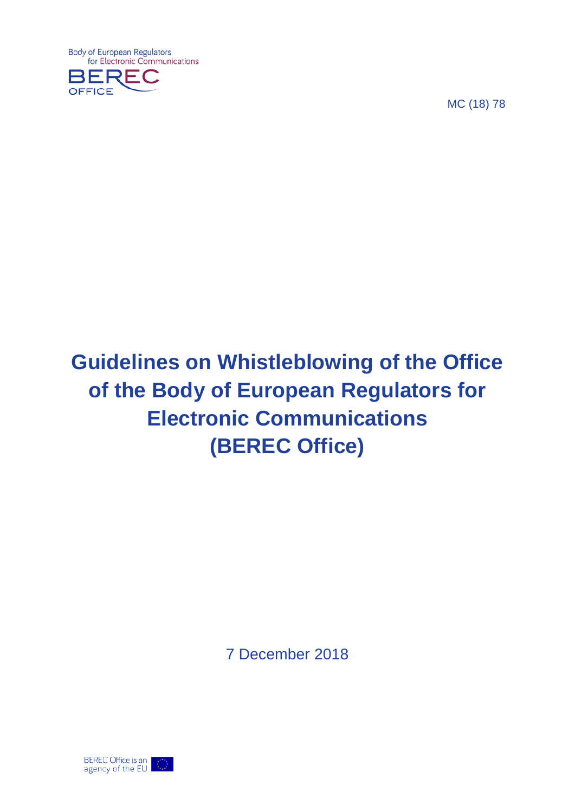**Body of European Regulators** for Electronic Communications



MC (18) 78

# **Guidelines on Whistleblowing of the Office of the Body of European Regulators for Electronic Communications (BEREC Office)**

7 December 2018

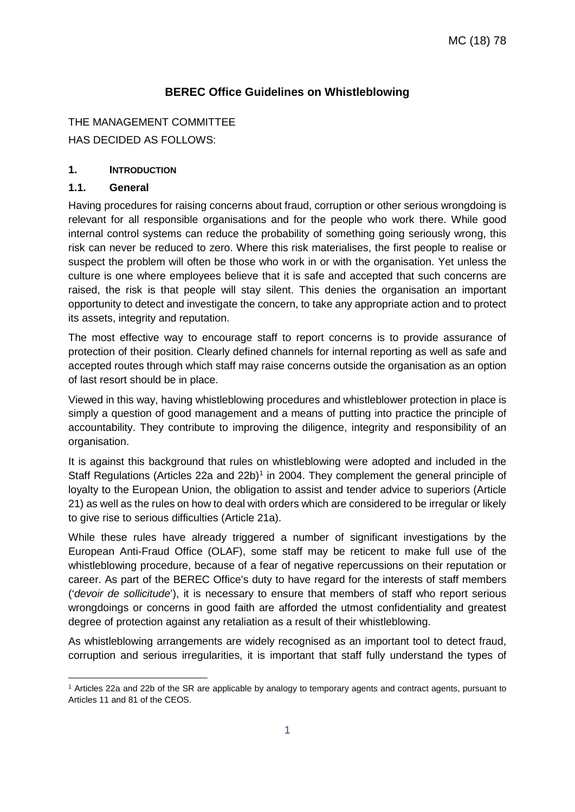# **BEREC Office Guidelines on Whistleblowing**

#### THE MANAGEMENT COMMITTEE

HAS DECIDED AS FOLLOWS:

#### **1. INTRODUCTION**

#### **1.1. General**

 $\overline{a}$ 

Having procedures for raising concerns about fraud, corruption or other serious wrongdoing is relevant for all responsible organisations and for the people who work there. While good internal control systems can reduce the probability of something going seriously wrong, this risk can never be reduced to zero. Where this risk materialises, the first people to realise or suspect the problem will often be those who work in or with the organisation. Yet unless the culture is one where employees believe that it is safe and accepted that such concerns are raised, the risk is that people will stay silent. This denies the organisation an important opportunity to detect and investigate the concern, to take any appropriate action and to protect its assets, integrity and reputation.

The most effective way to encourage staff to report concerns is to provide assurance of protection of their position. Clearly defined channels for internal reporting as well as safe and accepted routes through which staff may raise concerns outside the organisation as an option of last resort should be in place.

Viewed in this way, having whistleblowing procedures and whistleblower protection in place is simply a question of good management and a means of putting into practice the principle of accountability. They contribute to improving the diligence, integrity and responsibility of an organisation.

It is against this background that rules on whistleblowing were adopted and included in the Staff Regulations (Articles 22a and 22b)<sup>[1](#page-1-0)</sup> in 2004. They complement the general principle of loyalty to the European Union, the obligation to assist and tender advice to superiors (Article 21) as well as the rules on how to deal with orders which are considered to be irregular or likely to give rise to serious difficulties (Article 21a).

While these rules have already triggered a number of significant investigations by the European Anti-Fraud Office (OLAF), some staff may be reticent to make full use of the whistleblowing procedure, because of a fear of negative repercussions on their reputation or career. As part of the BEREC Office's duty to have regard for the interests of staff members ('*devoir de sollicitude*'), it is necessary to ensure that members of staff who report serious wrongdoings or concerns in good faith are afforded the utmost confidentiality and greatest degree of protection against any retaliation as a result of their whistleblowing.

As whistleblowing arrangements are widely recognised as an important tool to detect fraud, corruption and serious irregularities, it is important that staff fully understand the types of

<span id="page-1-0"></span><sup>1</sup> Articles 22a and 22b of the SR are applicable by analogy to temporary agents and contract agents, pursuant to Articles 11 and 81 of the CEOS.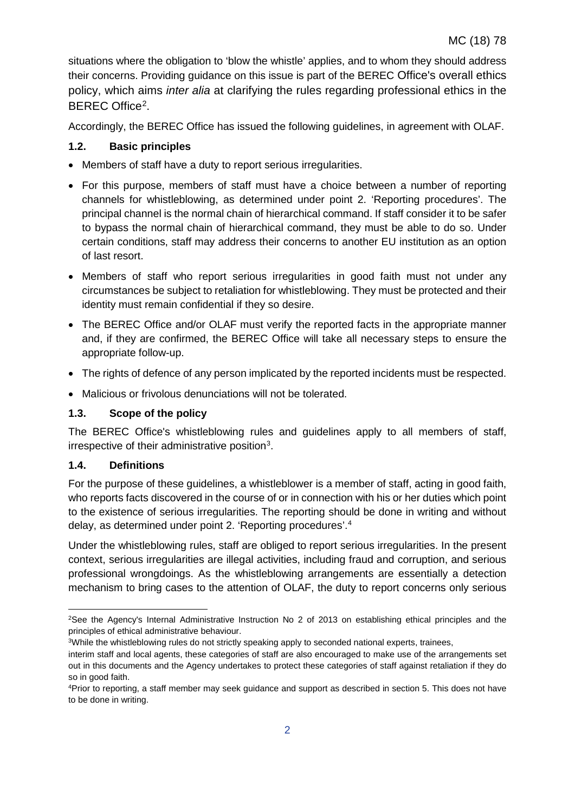situations where the obligation to 'blow the whistle' applies, and to whom they should address their concerns. Providing guidance on this issue is part of the BEREC Office's overall ethics policy, which aims *inter alia* at clarifying the rules regarding professional ethics in the BEREC Office[2.](#page-2-0)

Accordingly, the BEREC Office has issued the following guidelines, in agreement with OLAF.

## **1.2. Basic principles**

- Members of staff have a duty to report serious irregularities.
- For this purpose, members of staff must have a choice between a number of reporting channels for whistleblowing, as determined under point 2. 'Reporting procedures'. The principal channel is the normal chain of hierarchical command. If staff consider it to be safer to bypass the normal chain of hierarchical command, they must be able to do so. Under certain conditions, staff may address their concerns to another EU institution as an option of last resort.
- Members of staff who report serious irregularities in good faith must not under any circumstances be subject to retaliation for whistleblowing. They must be protected and their identity must remain confidential if they so desire.
- The BEREC Office and/or OLAF must verify the reported facts in the appropriate manner and, if they are confirmed, the BEREC Office will take all necessary steps to ensure the appropriate follow-up.
- The rights of defence of any person implicated by the reported incidents must be respected.
- Malicious or frivolous denunciations will not be tolerated.

# **1.3. Scope of the policy**

The BEREC Office's whistleblowing rules and guidelines apply to all members of staff, irrespective of their administrative position $3$ .

## **1.4. Definitions**

For the purpose of these guidelines, a whistleblower is a member of staff, acting in good faith, who reports facts discovered in the course of or in connection with his or her duties which point to the existence of serious irregularities. The reporting should be done in writing and without delay, as determined under point 2. 'Reporting procedures'. [4](#page-2-2)

Under the whistleblowing rules, staff are obliged to report serious irregularities. In the present context, serious irregularities are illegal activities, including fraud and corruption, and serious professional wrongdoings. As the whistleblowing arrangements are essentially a detection mechanism to bring cases to the attention of OLAF, the duty to report concerns only serious

<span id="page-2-0"></span> $\overline{a}$ 2See the Agency's Internal Administrative Instruction No 2 of 2013 on establishing ethical principles and the principles of ethical administrative behaviour.

<span id="page-2-1"></span><sup>3</sup>While the whistleblowing rules do not strictly speaking apply to seconded national experts, trainees,

interim staff and local agents, these categories of staff are also encouraged to make use of the arrangements set out in this documents and the Agency undertakes to protect these categories of staff against retaliation if they do so in good faith.

<span id="page-2-2"></span><sup>4</sup>Prior to reporting, a staff member may seek guidance and support as described in section 5. This does not have to be done in writing.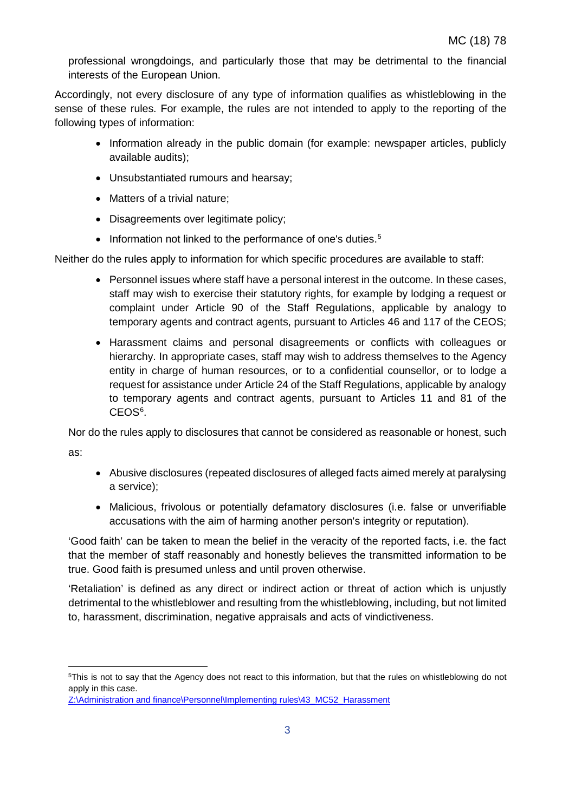professional wrongdoings, and particularly those that may be detrimental to the financial interests of the European Union.

Accordingly, not every disclosure of any type of information qualifies as whistleblowing in the sense of these rules. For example, the rules are not intended to apply to the reporting of the following types of information:

- Information already in the public domain (for example: newspaper articles, publicly available audits);
- Unsubstantiated rumours and hearsay;
- Matters of a trivial nature:
- Disagreements over legitimate policy;
- Information not linked to the performance of one's duties.<sup>[5](#page-3-0)</sup>

Neither do the rules apply to information for which specific procedures are available to staff:

- Personnel issues where staff have a personal interest in the outcome. In these cases, staff may wish to exercise their statutory rights, for example by lodging a request or complaint under Article 90 of the Staff Regulations, applicable by analogy to temporary agents and contract agents, pursuant to Articles 46 and 117 of the CEOS;
- Harassment claims and personal disagreements or conflicts with colleagues or hierarchy. In appropriate cases, staff may wish to address themselves to the Agency entity in charge of human resources, or to a confidential counsellor, or to lodge a request for assistance under Article 24 of the Staff Regulations, applicable by analogy to temporary agents and contract agents, pursuant to Articles 11 and 81 of the CEOS<sup>[6](#page-3-1)</sup>.

Nor do the rules apply to disclosures that cannot be considered as reasonable or honest, such as:

- Abusive disclosures (repeated disclosures of alleged facts aimed merely at paralysing a service);
- Malicious, frivolous or potentially defamatory disclosures (i.e. false or unverifiable accusations with the aim of harming another person's integrity or reputation).

'Good faith' can be taken to mean the belief in the veracity of the reported facts, i.e. the fact that the member of staff reasonably and honestly believes the transmitted information to be true. Good faith is presumed unless and until proven otherwise.

'Retaliation' is defined as any direct or indirect action or threat of action which is unjustly detrimental to the whistleblower and resulting from the whistleblowing, including, but not limited to, harassment, discrimination, negative appraisals and acts of vindictiveness.

<span id="page-3-0"></span> $\overline{a}$ 5This is not to say that the Agency does not react to this information, but that the rules on whistleblowing do not apply in this case.

<span id="page-3-1"></span>[Z:\Administration and finance\Personnel\Implementing rules\43\\_MC52\\_Harassment](file://vmfile01/shared/Administration%20and%20finance/Personnel/Implementing%20rules/43_MC52_Harassment/MC_(12)_52_Draft_MC_Decission_on_harrasment_2012.11.23.pdf)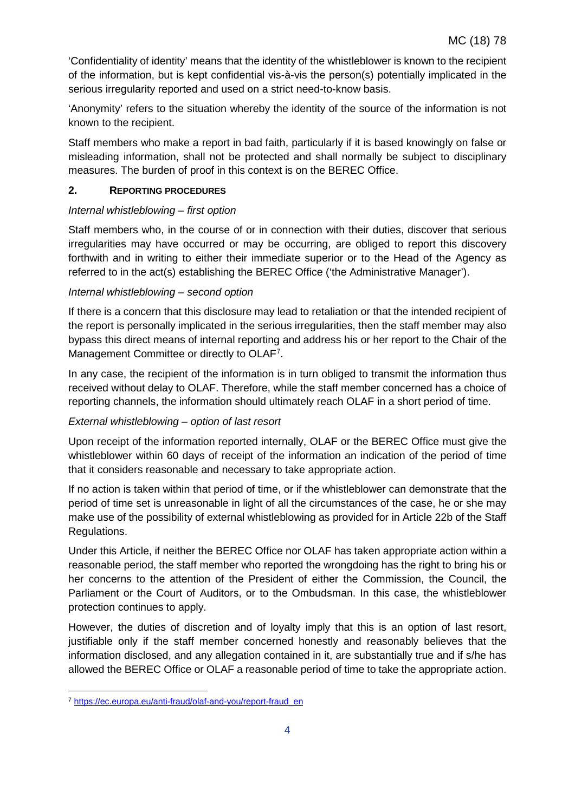'Confidentiality of identity' means that the identity of the whistleblower is known to the recipient of the information, but is kept confidential vis-à-vis the person(s) potentially implicated in the serious irregularity reported and used on a strict need-to-know basis.

'Anonymity' refers to the situation whereby the identity of the source of the information is not known to the recipient.

Staff members who make a report in bad faith, particularly if it is based knowingly on false or misleading information, shall not be protected and shall normally be subject to disciplinary measures. The burden of proof in this context is on the BEREC Office.

## **2. REPORTING PROCEDURES**

## *Internal whistleblowing – first option*

Staff members who, in the course of or in connection with their duties, discover that serious irregularities may have occurred or may be occurring, are obliged to report this discovery forthwith and in writing to either their immediate superior or to the Head of the Agency as referred to in the act(s) establishing the BEREC Office ('the Administrative Manager').

## *Internal whistleblowing – second option*

If there is a concern that this disclosure may lead to retaliation or that the intended recipient of the report is personally implicated in the serious irregularities, then the staff member may also bypass this direct means of internal reporting and address his or her report to the Chair of the Management Committee or directly to OLAF<sup>[7](#page-4-0)</sup>.

In any case, the recipient of the information is in turn obliged to transmit the information thus received without delay to OLAF. Therefore, while the staff member concerned has a choice of reporting channels, the information should ultimately reach OLAF in a short period of time.

## *External whistleblowing – option of last resort*

Upon receipt of the information reported internally, OLAF or the BEREC Office must give the whistleblower within 60 days of receipt of the information an indication of the period of time that it considers reasonable and necessary to take appropriate action.

If no action is taken within that period of time, or if the whistleblower can demonstrate that the period of time set is unreasonable in light of all the circumstances of the case, he or she may make use of the possibility of external whistleblowing as provided for in Article 22b of the Staff Regulations.

Under this Article, if neither the BEREC Office nor OLAF has taken appropriate action within a reasonable period, the staff member who reported the wrongdoing has the right to bring his or her concerns to the attention of the President of either the Commission, the Council, the Parliament or the Court of Auditors, or to the Ombudsman. In this case, the whistleblower protection continues to apply.

However, the duties of [discretion](http://www.cc.cec:8081/pers_admin/admin_guide/conduct/chapter5_en.html#5_3) and of [loyalty](http://www.cc.cec:8081/pers_admin/admin_guide/conduct/chapter3a_en.html#3_2) imply that this is an option of last resort, justifiable only if the staff member concerned honestly and reasonably believes that the information disclosed, and any allegation contained in it, are substantially true and if s/he has allowed the BEREC Office or OLAF a reasonable period of time to take the appropriate action.

<span id="page-4-0"></span> $\overline{a}$ <sup>7</sup> [https://ec.europa.eu/anti-fraud/olaf-and-you/report-fraud\\_en](https://ec.europa.eu/anti-fraud/olaf-and-you/report-fraud_en)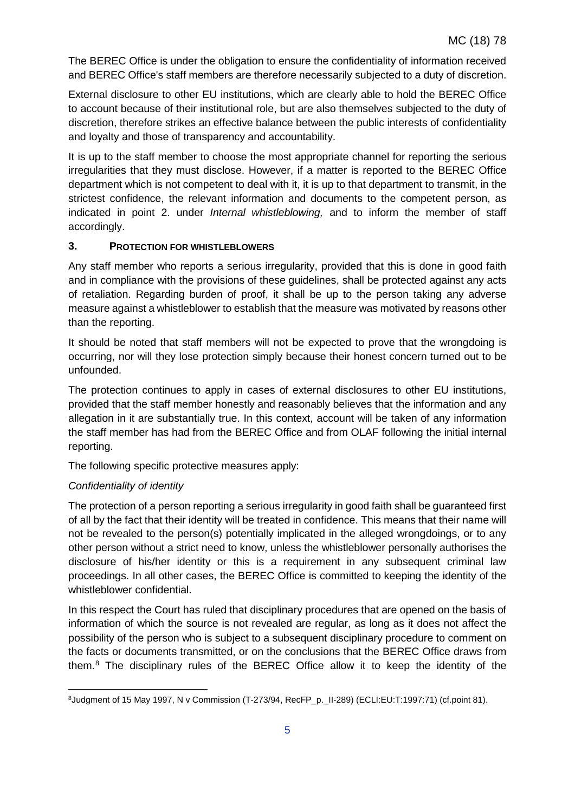The BEREC Office is under the obligation to ensure the confidentiality of information received and BEREC Office's staff members are therefore necessarily subjected to a duty of discretion.

External disclosure to other EU institutions, which are clearly able to hold the BEREC Office to account because of their institutional role, but are also themselves subjected to the duty of discretion, therefore strikes an effective balance between the public interests of confidentiality and loyalty and those of transparency and accountability.

It is up to the staff member to choose the most appropriate channel for reporting the serious irregularities that they must disclose. However, if a matter is reported to the BEREC Office department which is not competent to deal with it, it is up to that department to transmit, in the strictest confidence, the relevant information and documents to the competent person, as indicated in point 2. under *Internal whistleblowing,* and to inform the member of staff accordingly.

## **3. PROTECTION FOR WHISTLEBLOWERS**

Any staff member who reports a serious irregularity, provided that this is done in good faith and in compliance with the provisions of these guidelines, shall be protected against any acts of retaliation. Regarding burden of proof, it shall be up to the person taking any adverse measure against a whistleblower to establish that the measure was motivated by reasons other than the reporting.

It should be noted that staff members will not be expected to prove that the wrongdoing is occurring, nor will they lose protection simply because their honest concern turned out to be unfounded.

The protection continues to apply in cases of external disclosures to other EU institutions, provided that the staff member honestly and reasonably believes that the information and any allegation in it are substantially true. In this context, account will be taken of any information the staff member has had from the BEREC Office and from OLAF following the initial internal reporting.

The following specific protective measures apply:

# *Confidentiality of identity*

The protection of a person reporting a serious irregularity in good faith shall be guaranteed first of all by the fact that their identity will be treated in confidence. This means that their name will not be revealed to the person(s) potentially implicated in the alleged wrongdoings, or to any other person without a strict need to know, unless the whistleblower personally authorises the disclosure of his/her identity or this is a requirement in any subsequent criminal law proceedings. In all other cases, the BEREC Office is committed to keeping the identity of the whistleblower confidential.

In this respect the Court has ruled that disciplinary procedures that are opened on the basis of information of which the source is not revealed are regular, as long as it does not affect the possibility of the person who is subject to a subsequent disciplinary procedure to comment on the facts or documents transmitted, or on the conclusions that the BEREC Office draws from them.[8](#page-5-0) The disciplinary rules of the BEREC Office allow it to keep the identity of the

<span id="page-5-0"></span> $\overline{a}$ 8Judgment of 15 May 1997, N v Commission (T-273/94, RecFP\_p.\_II-289) (ECLI:EU:T:1997:71) (cf.point 81).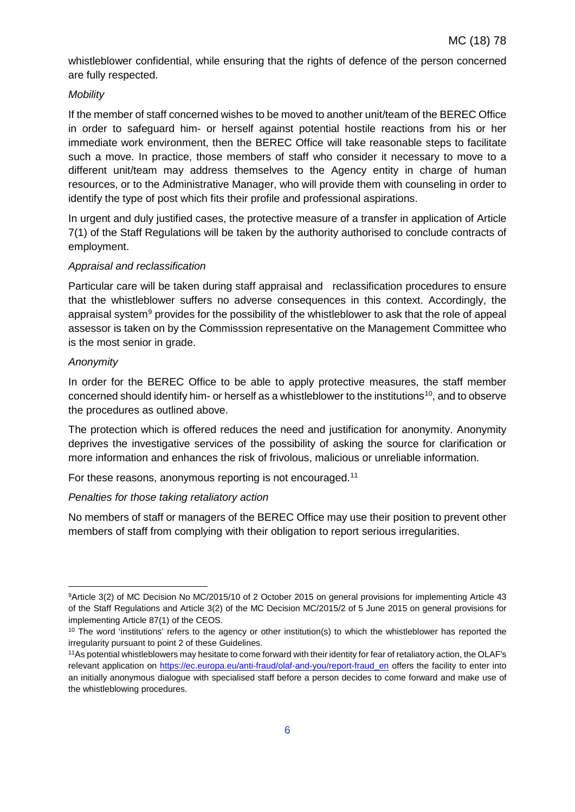whistleblower confidential, while ensuring that the rights of defence of the person concerned are fully respected.

## *Mobility*

If the member of staff concerned wishes to be moved to another unit/team of the BEREC Office in order to safeguard him- or herself against potential hostile reactions from his or her immediate work environment, then the BEREC Office will take reasonable steps to facilitate such a move. In practice, those members of staff who consider it necessary to move to a different unit/team may address themselves to the Agency entity in charge of human resources, or to the Administrative Manager, who will provide them with counseling in order to identify the type of post which fits their profile and professional aspirations.

In urgent and duly justified cases, the protective measure of a transfer in application of Article 7(1) of the Staff Regulations will be taken by the authority authorised to conclude contracts of employment.

## *Appraisal and reclassification*

Particular care will be taken during staff appraisal and reclassification procedures to ensure that the whistleblower suffers no adverse consequences in this context. Accordingly, the appraisal system<sup>[9](#page-6-0)</sup> provides for the possibility of the whistleblower to ask that the role of appeal assessor is taken on by the Commisssion representative on the Management Committee who is the most senior in grade.

## *Anonymity*

In order for the BEREC Office to be able to apply protective measures, the staff member concerned should identify him- or herself as a whistleblower to the institutions<sup>10</sup>, and to observe the procedures as outlined above.

The protection which is offered reduces the need and justification for anonymity. Anonymity deprives the investigative services of the possibility of asking the source for clarification or more information and enhances the risk of frivolous, malicious or unreliable information.

For these reasons, anonymous reporting is not encouraged.<sup>[11](#page-6-2)</sup>

## *Penalties for those taking retaliatory action*

No members of staff or managers of the BEREC Office may use their position to prevent other members of staff from complying with their obligation to report serious irregularities.

<span id="page-6-0"></span> $\overline{a}$ 9Article 3(2) of MC Decision No MC/2015/10 of 2 October 2015 on general provisions for implementing Article 43 of the Staff Regulations and Article 3(2) of the MC Decision MC/2015/2 of 5 June 2015 on general provisions for implementing Article 87(1) of the CEOS.

<span id="page-6-1"></span><sup>&</sup>lt;sup>10</sup> The word 'institutions' refers to the agency or other institution(s) to which the whistleblower has reported the irregularity pursuant to point 2 of these Guidelines.

<span id="page-6-2"></span><sup>11</sup>As potential whistleblowers may hesitate to come forward with their identity for fear of retaliatory action, the OLAF's relevant application on [https://ec.europa.eu/anti-fraud/olaf-and-you/report-fraud\\_en](https://ec.europa.eu/anti-fraud/olaf-and-you/report-fraud_en) offers the facility to enter into an initially anonymous dialogue with specialised staff before a person decides to come forward and make use of the whistleblowing procedures.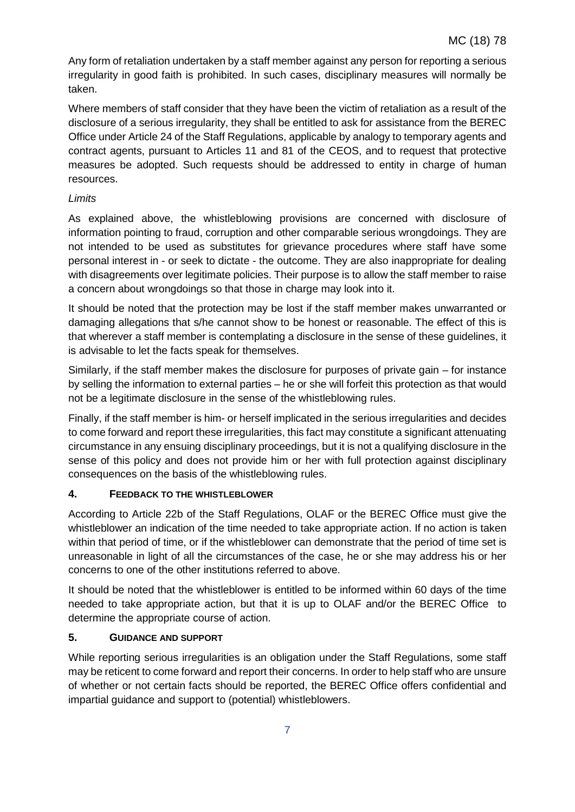Any form of retaliation undertaken by a staff member against any person for reporting a serious irregularity in good faith is prohibited. In such cases, disciplinary measures will normally be taken.

Where members of staff consider that they have been the victim of retaliation as a result of the disclosure of a serious irregularity, they shall be entitled to ask for assistance from the BEREC Office under Article 24 of the Staff Regulations, applicable by analogy to temporary agents and contract agents, pursuant to Articles 11 and 81 of the CEOS, and to request that protective measures be adopted. Such requests should be addressed to entity in charge of human resources.

## *Limits*

As explained above, the whistleblowing provisions are concerned with disclosure of information pointing to fraud, corruption and other comparable serious wrongdoings. They are not intended to be used as substitutes for grievance procedures where staff have some personal interest in - or seek to dictate - the outcome. They are also inappropriate for dealing with disagreements over legitimate policies. Their purpose is to allow the staff member to raise a concern about wrongdoings so that those in charge may look into it.

It should be noted that the protection may be lost if the staff member makes unwarranted or damaging allegations that s/he cannot show to be honest or reasonable. The effect of this is that wherever a staff member is contemplating a disclosure in the sense of these guidelines, it is advisable to let the facts speak for themselves.

Similarly, if the staff member makes the disclosure for purposes of private gain – for instance by selling the information to external parties – he or she will forfeit this protection as that would not be a legitimate disclosure in the sense of the whistleblowing rules.

Finally, if the staff member is him- or herself implicated in the serious irregularities and decides to come forward and report these irregularities, this fact may constitute a significant attenuating circumstance in any ensuing disciplinary proceedings, but it is not a qualifying disclosure in the sense of this policy and does not provide him or her with full protection against disciplinary consequences on the basis of the whistleblowing rules.

# **4. FEEDBACK TO THE WHISTLEBLOWER**

According to Article 22b of the Staff Regulations, OLAF or the BEREC Office must give the whistleblower an indication of the time needed to take appropriate action. If no action is taken within that period of time, or if the whistleblower can demonstrate that the period of time set is unreasonable in light of all the circumstances of the case, he or she may address his or her concerns to one of the other institutions referred to above.

It should be noted that the whistleblower is entitled to be informed within 60 days of the time needed to take appropriate action, but that it is up to OLAF and/or the BEREC Office to determine the appropriate course of action.

# **5. GUIDANCE AND SUPPORT**

While reporting serious irregularities is an obligation under the Staff Regulations, some staff may be reticent to come forward and report their concerns. In order to help staff who are unsure of whether or not certain facts should be reported, the BEREC Office offers confidential and impartial guidance and support to (potential) whistleblowers.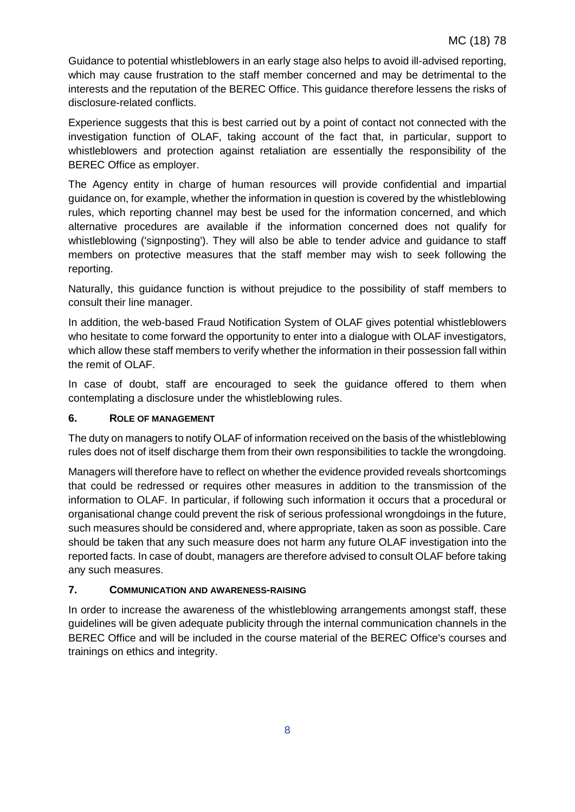Guidance to potential whistleblowers in an early stage also helps to avoid ill-advised reporting, which may cause frustration to the staff member concerned and may be detrimental to the interests and the reputation of the BEREC Office. This guidance therefore lessens the risks of disclosure-related conflicts.

Experience suggests that this is best carried out by a point of contact not connected with the investigation function of OLAF, taking account of the fact that, in particular, support to whistleblowers and protection against retaliation are essentially the responsibility of the BEREC Office as employer.

The Agency entity in charge of human resources will provide confidential and impartial guidance on, for example, whether the information in question is covered by the whistleblowing rules, which reporting channel may best be used for the information concerned, and which alternative procedures are available if the information concerned does not qualify for whistleblowing ('signposting'). They will also be able to tender advice and guidance to staff members on protective measures that the staff member may wish to seek following the reporting.

Naturally, this guidance function is without prejudice to the possibility of staff members to consult their line manager.

In addition, the web-based Fraud Notification System of OLAF gives potential whistleblowers who hesitate to come forward the opportunity to enter into a dialogue with OLAF investigators, which allow these staff members to verify whether the information in their possession fall within the remit of OLAF.

In case of doubt, staff are encouraged to seek the guidance offered to them when contemplating a disclosure under the whistleblowing rules.

## **6. ROLE OF MANAGEMENT**

The duty on managers to notify OLAF of information received on the basis of the whistleblowing rules does not of itself discharge them from their own responsibilities to tackle the wrongdoing.

Managers will therefore have to reflect on whether the evidence provided reveals shortcomings that could be redressed or requires other measures in addition to the transmission of the information to OLAF. In particular, if following such information it occurs that a procedural or organisational change could prevent the risk of serious professional wrongdoings in the future, such measures should be considered and, where appropriate, taken as soon as possible. Care should be taken that any such measure does not harm any future OLAF investigation into the reported facts. In case of doubt, managers are therefore advised to consult OLAF before taking any such measures.

## **7. COMMUNICATION AND AWARENESS-RAISING**

In order to increase the awareness of the whistleblowing arrangements amongst staff, these guidelines will be given adequate publicity through the internal communication channels in the BEREC Office and will be included in the course material of the BEREC Office's courses and trainings on ethics and integrity.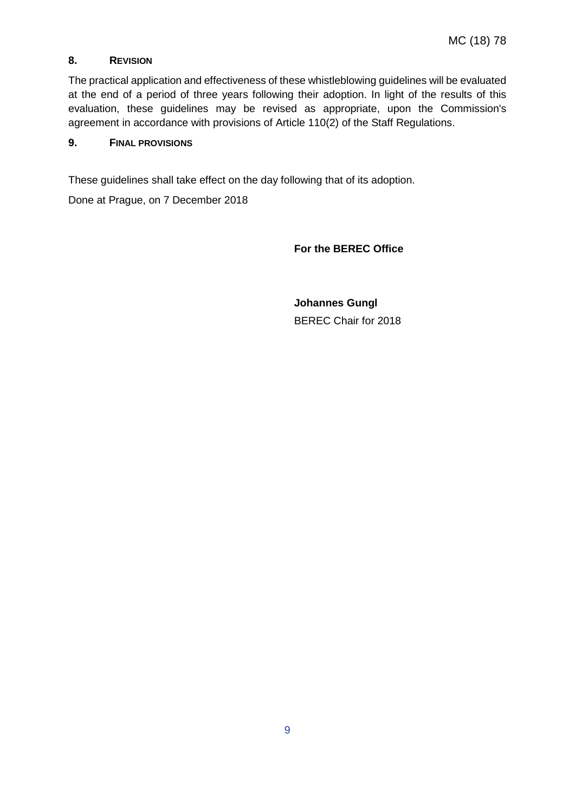## **8. REVISION**

The practical application and effectiveness of these whistleblowing guidelines will be evaluated at the end of a period of three years following their adoption. In light of the results of this evaluation, these guidelines may be revised as appropriate, upon the Commission's agreement in accordance with provisions of Article 110(2) of the Staff Regulations.

#### **9. FINAL PROVISIONS**

These guidelines shall take effect on the day following that of its adoption.

Done at Prague, on 7 December 2018

**For the BEREC Office**

**Johannes Gungl** BEREC Chair for 2018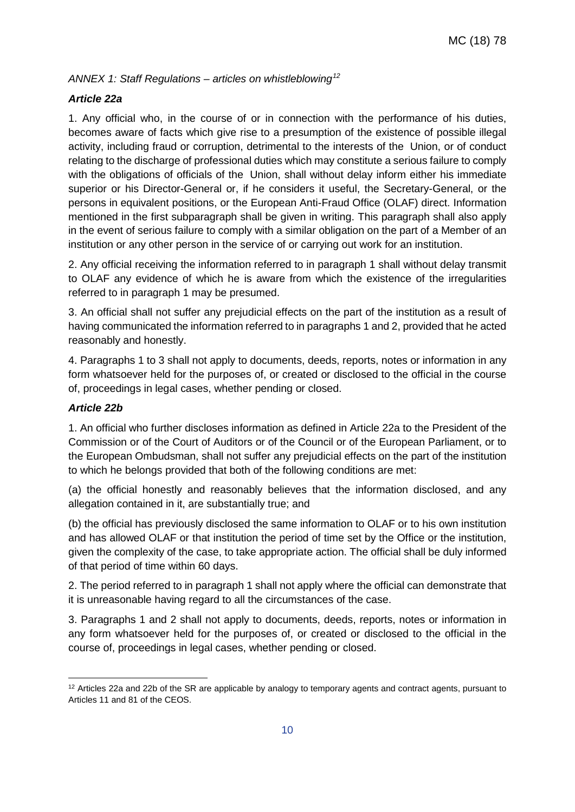*ANNEX 1: Staff Regulations – articles on whistleblowing[12](#page-10-0)*

#### *Article 22a*

1. Any official who, in the course of or in connection with the performance of his duties, becomes aware of facts which give rise to a presumption of the existence of possible illegal activity, including fraud or corruption, detrimental to the interests of the Union, or of conduct relating to the discharge of professional duties which may constitute a serious failure to comply with the obligations of officials of the Union, shall without delay inform either his immediate superior or his Director-General or, if he considers it useful, the Secretary-General, or the persons in equivalent positions, or the European Anti-Fraud Office (OLAF) direct. Information mentioned in the first subparagraph shall be given in writing. This paragraph shall also apply in the event of serious failure to comply with a similar obligation on the part of a Member of an institution or any other person in the service of or carrying out work for an institution.

2. Any official receiving the information referred to in paragraph 1 shall without delay transmit to OLAF any evidence of which he is aware from which the existence of the irregularities referred to in paragraph 1 may be presumed.

3. An official shall not suffer any prejudicial effects on the part of the institution as a result of having communicated the information referred to in paragraphs 1 and 2, provided that he acted reasonably and honestly.

4. Paragraphs 1 to 3 shall not apply to documents, deeds, reports, notes or information in any form whatsoever held for the purposes of, or created or disclosed to the official in the course of, proceedings in legal cases, whether pending or closed.

#### *Article 22b*

 $\overline{a}$ 

1. An official who further discloses information as defined in Article 22a to the President of the Commission or of the Court of Auditors or of the Council or of the European Parliament, or to the European Ombudsman, shall not suffer any prejudicial effects on the part of the institution to which he belongs provided that both of the following conditions are met:

(a) the official honestly and reasonably believes that the information disclosed, and any allegation contained in it, are substantially true; and

(b) the official has previously disclosed the same information to OLAF or to his own institution and has allowed OLAF or that institution the period of time set by the Office or the institution, given the complexity of the case, to take appropriate action. The official shall be duly informed of that period of time within 60 days.

2. The period referred to in paragraph 1 shall not apply where the official can demonstrate that it is unreasonable having regard to all the circumstances of the case.

3. Paragraphs 1 and 2 shall not apply to documents, deeds, reports, notes or information in any form whatsoever held for the purposes of, or created or disclosed to the official in the course of, proceedings in legal cases, whether pending or closed.

<span id="page-10-0"></span><sup>&</sup>lt;sup>12</sup> Articles 22a and 22b of the SR are applicable by analogy to temporary agents and contract agents, pursuant to Articles 11 and 81 of the CEOS.